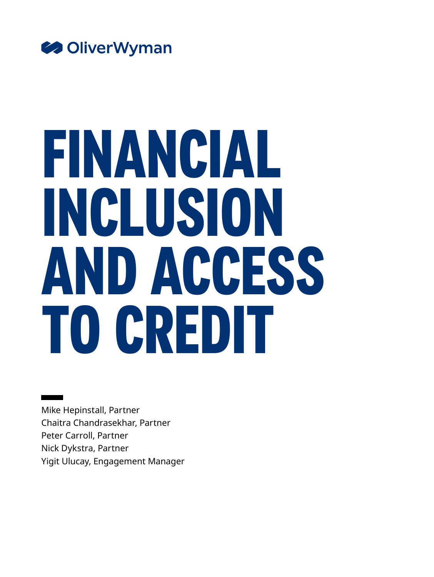

# **FINANCIAL INCLUSION AND ACCESS TO CREDIT**

Mike Hepinstall, Partner Chaitra Chandrasekhar, Partner Peter Carroll, Partner Nick Dykstra, Partner Yigit Ulucay, Engagement Manager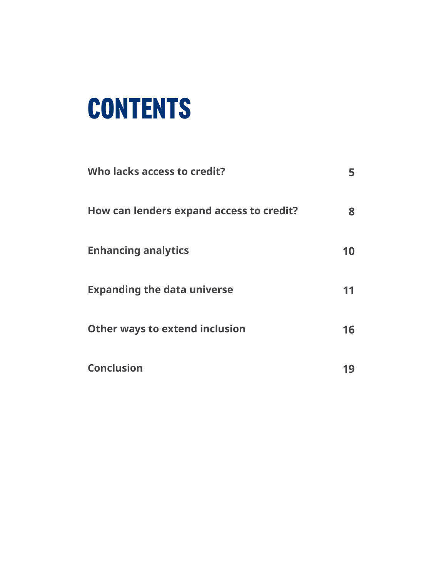## **CONTENTS**

| Who lacks access to credit?              |    |
|------------------------------------------|----|
| How can lenders expand access to credit? | 8  |
| <b>Enhancing analytics</b>               | 10 |
| <b>Expanding the data universe</b>       |    |
| <b>Other ways to extend inclusion</b>    | 16 |
| <b>Conclusion</b>                        |    |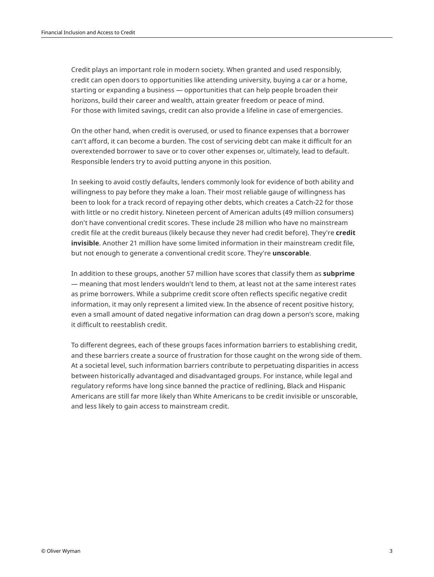Credit plays an important role in modern society. When granted and used responsibly, credit can open doors to opportunities like attending university, buying a car or a home, starting or expanding a business — opportunities that can help people broaden their horizons, build their career and wealth, attain greater freedom or peace of mind. For those with limited savings, credit can also provide a lifeline in case of emergencies.

On the other hand, when credit is overused, or used to finance expenses that a borrower can't afford, it can become a burden. The cost of servicing debt can make it difficult for an overextended borrower to save or to cover other expenses or, ultimately, lead to default. Responsible lenders try to avoid putting anyone in this position.

In seeking to avoid costly defaults, lenders commonly look for evidence of both ability and willingness to pay before they make a loan. Their most reliable gauge of willingness has been to look for a track record of repaying other debts, which creates a Catch-22 for those with little or no credit history. Nineteen percent of American adults (49 million consumers) don't have conventional credit scores. These include 28 million who have no mainstream credit file at the credit bureaus (likely because they never had credit before). They're **credit invisible**. Another 21 million have some limited information in their mainstream credit file, but not enough to generate a conventional credit score. They're **unscorable**.

In addition to these groups, another 57 million have scores that classify them as **subprime** — meaning that most lenders wouldn't lend to them, at least not at the same interest rates as prime borrowers. While a subprime credit score often reflects specific negative credit information, it may only represent a limited view. In the absence of recent positive history, even a small amount of dated negative information can drag down a person's score, making it difficult to reestablish credit.

To different degrees, each of these groups faces information barriers to establishing credit, and these barriers create a source of frustration for those caught on the wrong side of them. At a societal level, such information barriers contribute to perpetuating disparities in access between historically advantaged and disadvantaged groups. For instance, while legal and regulatory reforms have long since banned the practice of redlining, Black and Hispanic Americans are still far more likely than White Americans to be credit invisible or unscorable, and less likely to gain access to mainstream credit.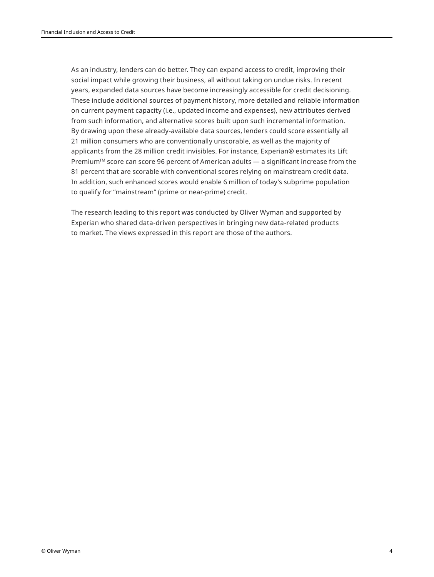As an industry, lenders can do better. They can expand access to credit, improving their social impact while growing their business, all without taking on undue risks. In recent years, expanded data sources have become increasingly accessible for credit decisioning. These include additional sources of payment history, more detailed and reliable information on current payment capacity (i.e., updated income and expenses), new attributes derived from such information, and alternative scores built upon such incremental information. By drawing upon these already-available data sources, lenders could score essentially all 21 million consumers who are conventionally unscorable, as well as the majority of applicants from the 28 million credit invisibles. For instance, Experian® estimates its Lift Premium<sup>™</sup> score can score 96 percent of American adults — a significant increase from the 81 percent that are scorable with conventional scores relying on mainstream credit data. In addition, such enhanced scores would enable 6 million of today's subprime population to qualify for "mainstream" (prime or near-prime) credit.

The research leading to this report was conducted by Oliver Wyman and supported by Experian who shared data-driven perspectives in bringing new data-related products to market. The views expressed in this report are those of the authors.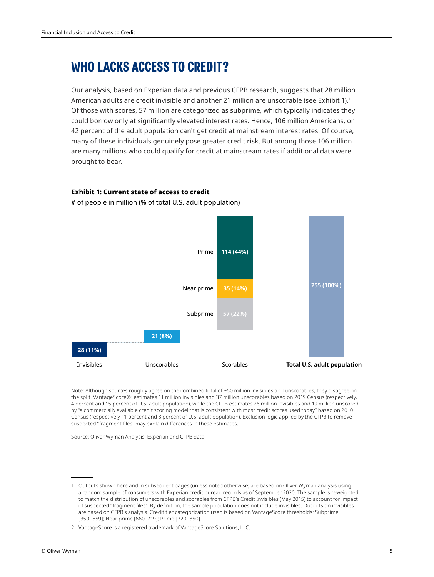## **WHO LACKS ACCESS TO CREDIT?**

Our analysis, based on Experian data and previous CFPB research, suggests that 28 million American adults are credit invisible and another 21 million are unscorable (see Exhibit 1).<sup>1</sup> Of those with scores, 57 million are categorized as subprime, which typically indicates they could borrow only at significantly elevated interest rates. Hence, 106 million Americans, or 42 percent of the adult population can't get credit at mainstream interest rates. Of course, many of these individuals genuinely pose greater credit risk. But among those 106 million are many millions who could qualify for credit at mainstream rates if additional data were brought to bear.

### **Exhibit 1: Current state of access to credit**

# of people in million (% of total U.S. adult population)



Note: Although sources roughly agree on the combined total of ~50 million invisibles and unscorables, they disagree on the split. VantageScore® estimates 11 million invisibles and 37 million unscorables based on 2019 Census (respectively, 4 percent and 15 percent of U.S. adult population), while the CFPB estimates 26 million invisibles and 19 million unscored by "a commercially available credit scoring model that is consistent with most credit scores used today" based on 2010 Census (respectively 11 percent and 8 percent of U.S. adult population). Exclusion logic applied by the CFPB to remove suspected "fragment files" may explain differences in these estimates.

Source: Oliver Wyman Analysis; Experian and CFPB data

<sup>1</sup> Outputs shown here and in subsequent pages (unless noted otherwise) are based on Oliver Wyman analysis using a random sample of consumers with Experian credit bureau records as of September 2020. The sample is reweighted to match the distribution of unscorables and scorables from CFPB's Credit Invisibles (May 2015) to account for impact of suspected "fragment files". By definition, the sample population does not include invisibles. Outputs on invisibles are based on CFPB's analysis. Credit tier categorization used is based on VantageScore thresholds: Subprime [350–659]; Near prime [660–719]; Prime [720–850]

<sup>2</sup> VantageScore is a registered trademark of VantageScore Solutions, LLC.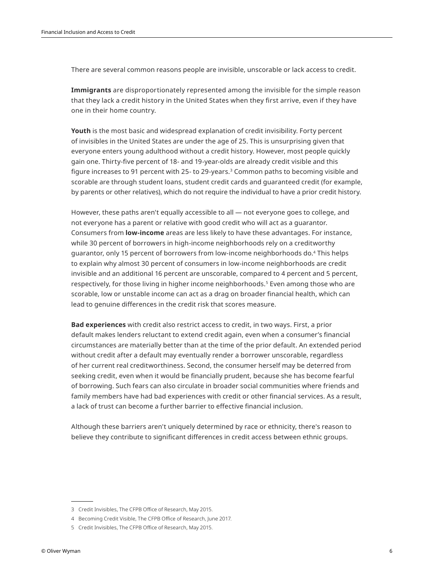There are several common reasons people are invisible, unscorable or lack access to credit.

**Immigrants** are disproportionately represented among the invisible for the simple reason that they lack a credit history in the United States when they first arrive, even if they have one in their home country.

**Youth** is the most basic and widespread explanation of credit invisibility. Forty percent of invisibles in the United States are under the age of 25. This is unsurprising given that everyone enters young adulthood without a credit history. However, most people quickly gain one. Thirty-five percent of 18- and 19-year-olds are already credit visible and this figure increases to 91 percent with 25- to 29-years.3 Common paths to becoming visible and scorable are through student loans, student credit cards and guaranteed credit (for example, by parents or other relatives), which do not require the individual to have a prior credit history.

However, these paths aren't equally accessible to all — not everyone goes to college, and not everyone has a parent or relative with good credit who will act as a guarantor. Consumers from **low-income** areas are less likely to have these advantages. For instance, while 30 percent of borrowers in high-income neighborhoods rely on a creditworthy guarantor, only 15 percent of borrowers from low-income neighborhoods do.4 This helps to explain why almost 30 percent of consumers in low-income neighborhoods are credit invisible and an additional 16 percent are unscorable, compared to 4 percent and 5 percent, respectively, for those living in higher income neighborhoods.<sup>5</sup> Even among those who are scorable, low or unstable income can act as a drag on broader financial health, which can lead to genuine differences in the credit risk that scores measure.

**Bad experiences** with credit also restrict access to credit, in two ways. First, a prior default makes lenders reluctant to extend credit again, even when a consumer's financial circumstances are materially better than at the time of the prior default. An extended period without credit after a default may eventually render a borrower unscorable, regardless of her current real creditworthiness. Second, the consumer herself may be deterred from seeking credit, even when it would be financially prudent, because she has become fearful of borrowing. Such fears can also circulate in broader social communities where friends and family members have had bad experiences with credit or other financial services. As a result, a lack of trust can become a further barrier to effective financial inclusion.

Although these barriers aren't uniquely determined by race or ethnicity, there's reason to believe they contribute to significant differences in credit access between ethnic groups.

<sup>3</sup> Credit Invisibles, The CFPB Office of Research, May 2015.

<sup>4</sup> Becoming Credit Visible, The CFPB Office of Research, June 2017.

<sup>5</sup> Credit Invisibles, The CFPB Office of Research, May 2015.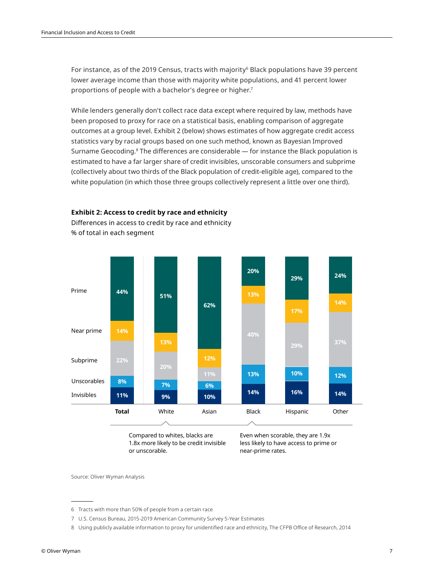For instance, as of the 2019 Census, tracts with majority<sup>6</sup> Black populations have 39 percent lower average income than those with majority white populations, and 41 percent lower proportions of people with a bachelor's degree or higher.7

While lenders generally don't collect race data except where required by law, methods have been proposed to proxy for race on a statistical basis, enabling comparison of aggregate outcomes at a group level. Exhibit 2 (below) shows estimates of how aggregate credit access statistics vary by racial groups based on one such method, known as Bayesian Improved Surname Geocoding.<sup>8</sup> The differences are considerable — for instance the Black population is estimated to have a far larger share of credit invisibles, unscorable consumers and subprime (collectively about two thirds of the Black population of credit-eligible age), compared to the white population (in which those three groups collectively represent a little over one third).



**Exhibit 2: Access to credit by race and ethnicity**

Differences in access to credit by race and ethnicity % of total in each segment

> Compared to whites, blacks are 1.8x more likely to be credit invisible or unscorable.

Even when scorable, they are 1.9x less likely to have access to prime or near-prime rates.

Source: Oliver Wyman Analysis

7 U.S. Census Bureau, 2015-2019 American Community Survey 5-Year Estimates

<sup>6</sup> Tracts with more than 50% of people from a certain race

<sup>8</sup> Using publicly available information to proxy for unidentified race and ethnicity, The CFPB Office of Research, 2014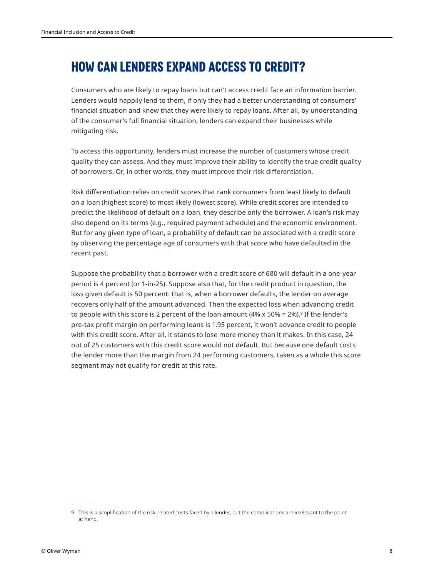## **HOW CAN LENDERS EXPAND ACCESS TO CREDIT?**

Consumers who are likely to repay loans but can't access credit face an information barrier. Lenders would happily lend to them, if only they had a better understanding of consumers' financial situation and knew that they were likely to repay loans. After all, by understanding of the consumer's full financial situation, lenders can expand their businesses while mitigating risk.

To access this opportunity, lenders must increase the number of customers whose credit quality they can assess. And they must improve their ability to identify the true credit quality of borrowers. Or, in other words, they must improve their risk differentiation.

Risk differentiation relies on credit scores that rank consumers from least likely to default on a loan (highest score) to most likely (lowest score). While credit scores are intended to predict the likelihood of default on a loan, they describe only the borrower. A loan's risk may also depend on its terms (e.g., required payment schedule) and the economic environment. But for any given type of loan, a probability of default can be associated with a credit score by observing the percentage age of consumers with that score who have defaulted in the recent past.

Suppose the probability that a borrower with a credit score of 680 will default in a one-year period is 4 percent (or 1-in-25). Suppose also that, for the credit product in question, the loss given default is 50 percent: that is, when a borrower defaults, the lender on average recovers only half of the amount advanced. Then the expected loss when advancing credit to people with this score is 2 percent of the loan amount (4% x 50% = 2%).<sup>9</sup> If the lender's pre-tax profit margin on performing loans is 1.95 percent, it won't advance credit to people with this credit score. After all, it stands to lose more money than it makes. In this case, 24 out of 25 customers with this credit score would not default. But because one default costs the lender more than the margin from 24 performing customers, taken as a whole this score segment may not qualify for credit at this rate.

<sup>9</sup> This is a simplification of the risk-related costs faced by a lender, but the complications are irrelevant to the point at hand.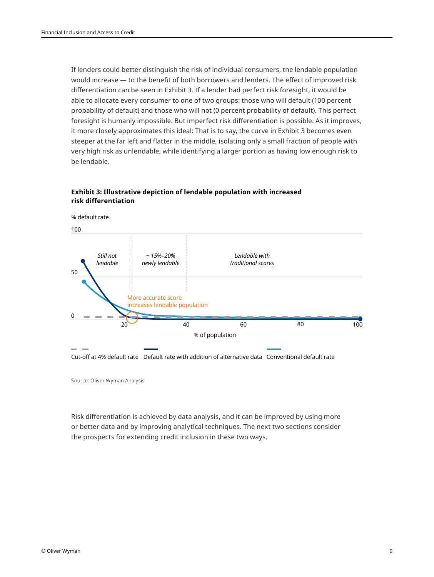If lenders could better distinguish the risk of individual consumers, the lendable population would increase — to the benefit of both borrowers and lenders. The effect of improved risk differentiation can be seen in Exhibit 3. If a lender had perfect risk foresight, it would be able to allocate every consumer to one of two groups: those who will default (100 percent probability of default) and those who will not (0 percent probability of default). This perfect foresight is humanly impossible. But imperfect risk differentiation is possible. As it improves, it more closely approximates this ideal: That is to say, the curve in Exhibit 3 becomes even steeper at the far left and flatter in the middle, isolating only a small fraction of people with very high risk as unlendable, while identifying a larger portion as having low enough risk to be lendable.

### **Exhibit 3: Illustrative depiction of lendable population with increased risk differentiation**



Source: Oliver Wyman Analysis

Risk differentiation is achieved by data analysis, and it can be improved by using more or better data and by improving analytical techniques. The next two sections consider the prospects for extending credit inclusion in these two ways.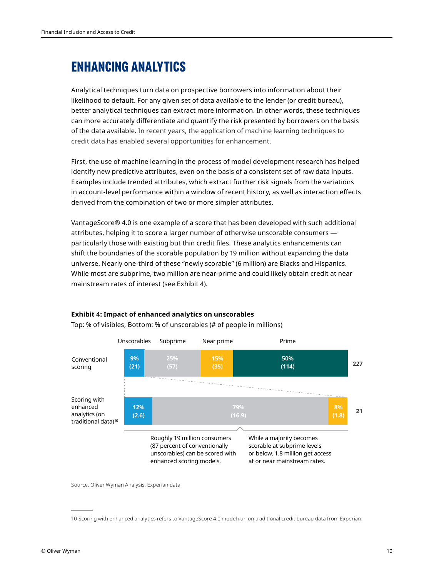## **ENHANCING ANALYTICS**

Analytical techniques turn data on prospective borrowers into information about their likelihood to default. For any given set of data available to the lender (or credit bureau), better analytical techniques can extract more information. In other words, these techniques can more accurately differentiate and quantify the risk presented by borrowers on the basis of the data available. In recent years, the application of machine learning techniques to credit data has enabled several opportunities for enhancement.

First, the use of machine learning in the process of model development research has helped identify new predictive attributes, even on the basis of a consistent set of raw data inputs. Examples include trended attributes, which extract further risk signals from the variations in account-level performance within a window of recent history, as well as interaction effects derived from the combination of two or more simpler attributes.

VantageScore® 4.0 is one example of a score that has been developed with such additional attributes, helping it to score a larger number of otherwise unscorable consumers particularly those with existing but thin credit files. These analytics enhancements can shift the boundaries of the scorable population by 19 million without expanding the data universe. Nearly one-third of these "newly scorable" (6 million) are Blacks and Hispanics. While most are subprime, two million are near-prime and could likely obtain credit at near mainstream rates of interest (see Exhibit 4).



## **Exhibit 4: Impact of enhanced analytics on unscorables**

Top: % of visibles, Bottom: % of unscorables (# of people in millions)

Source: Oliver Wyman Analysis; Experian data

<sup>10</sup> Scoring with enhanced analytics refers to VantageScore 4.0 model run on traditional credit bureau data from Experian.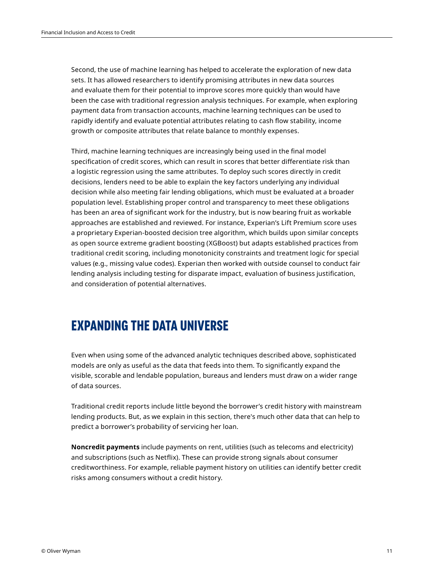Second, the use of machine learning has helped to accelerate the exploration of new data sets. It has allowed researchers to identify promising attributes in new data sources and evaluate them for their potential to improve scores more quickly than would have been the case with traditional regression analysis techniques. For example, when exploring payment data from transaction accounts, machine learning techniques can be used to rapidly identify and evaluate potential attributes relating to cash flow stability, income growth or composite attributes that relate balance to monthly expenses.

Third, machine learning techniques are increasingly being used in the final model specification of credit scores, which can result in scores that better differentiate risk than a logistic regression using the same attributes. To deploy such scores directly in credit decisions, lenders need to be able to explain the key factors underlying any individual decision while also meeting fair lending obligations, which must be evaluated at a broader population level. Establishing proper control and transparency to meet these obligations has been an area of significant work for the industry, but is now bearing fruit as workable approaches are established and reviewed. For instance, Experian's Lift Premium score uses a proprietary Experian-boosted decision tree algorithm, which builds upon similar concepts as open source extreme gradient boosting (XGBoost) but adapts established practices from traditional credit scoring, including monotonicity constraints and treatment logic for special values (e.g., missing value codes). Experian then worked with outside counsel to conduct fair lending analysis including testing for disparate impact, evaluation of business justification, and consideration of potential alternatives.

## **EXPANDING THE DATA UNIVERSE**

Even when using some of the advanced analytic techniques described above, sophisticated models are only as useful as the data that feeds into them. To significantly expand the visible, scorable and lendable population, bureaus and lenders must draw on a wider range of data sources.

Traditional credit reports include little beyond the borrower's credit history with mainstream lending products. But, as we explain in this section, there's much other data that can help to predict a borrower's probability of servicing her loan.

**Noncredit payments** include payments on rent, utilities (such as telecoms and electricity) and subscriptions (such as Netflix). These can provide strong signals about consumer creditworthiness. For example, reliable payment history on utilities can identify better credit risks among consumers without a credit history.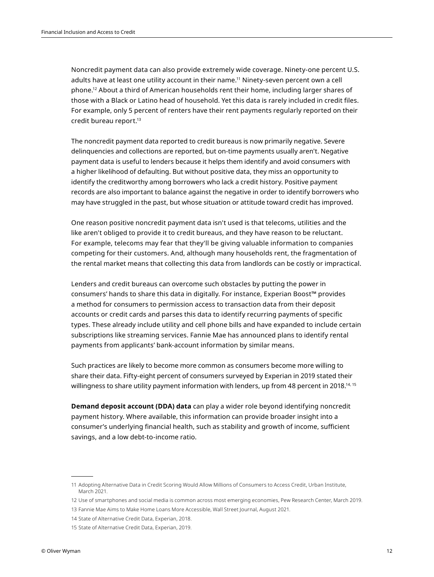Noncredit payment data can also provide extremely wide coverage. Ninety-one percent U.S. adults have at least one utility account in their name.<sup>11</sup> Ninety-seven percent own a cell phone.12 About a third of American households rent their home, including larger shares of those with a Black or Latino head of household. Yet this data is rarely included in credit files. For example, only 5 percent of renters have their rent payments regularly reported on their credit bureau report.13

The noncredit payment data reported to credit bureaus is now primarily negative. Severe delinquencies and collections are reported, but on-time payments usually aren't. Negative payment data is useful to lenders because it helps them identify and avoid consumers with a higher likelihood of defaulting. But without positive data, they miss an opportunity to identify the creditworthy among borrowers who lack a credit history. Positive payment records are also important to balance against the negative in order to identify borrowers who may have struggled in the past, but whose situation or attitude toward credit has improved.

One reason positive noncredit payment data isn't used is that telecoms, utilities and the like aren't obliged to provide it to credit bureaus, and they have reason to be reluctant. For example, telecoms may fear that they'll be giving valuable information to companies competing for their customers. And, although many households rent, the fragmentation of the rental market means that collecting this data from landlords can be costly or impractical.

Lenders and credit bureaus can overcome such obstacles by putting the power in consumers' hands to share this data in digitally. For instance, Experian Boost™ provides a method for consumers to permission access to transaction data from their deposit accounts or credit cards and parses this data to identify recurring payments of specific types. These already include utility and cell phone bills and have expanded to include certain subscriptions like streaming services. Fannie Mae has announced plans to identify rental payments from applicants' bank-account information by similar means.

Such practices are likely to become more common as consumers become more willing to share their data. Fifty-eight percent of consumers surveyed by Experian in 2019 stated their willingness to share utility payment information with lenders, up from 48 percent in 2018.<sup>14, 15</sup>

**Demand deposit account (DDA) data** can play a wider role beyond identifying noncredit payment history. Where available, this information can provide broader insight into a consumer's underlying financial health, such as stability and growth of income, sufficient savings, and a low debt-to-income ratio.

<sup>11</sup> Adopting Alternative Data in Credit Scoring Would Allow Millions of Consumers to Access Credit, Urban Institute, March 2021.

<sup>12</sup> Use of smartphones and social media is common across most emerging economies, Pew Research Center, March 2019.

<sup>13</sup> Fannie Mae Aims to Make Home Loans More Accessible, Wall Street Journal, August 2021.

<sup>14</sup> State of Alternative Credit Data, Experian, 2018.

<sup>15</sup> State of Alternative Credit Data, Experian, 2019.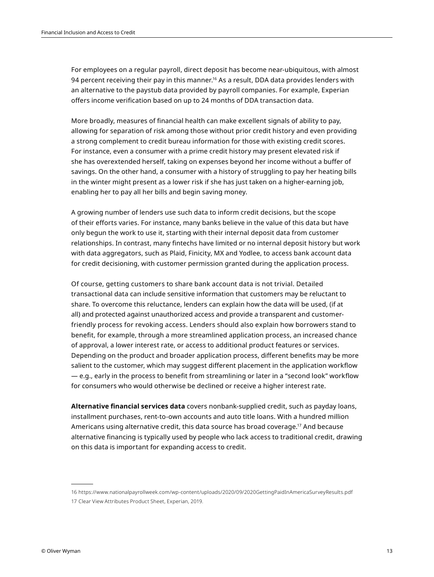For employees on a regular payroll, direct deposit has become near-ubiquitous, with almost 94 percent receiving their pay in this manner.<sup>16</sup> As a result, DDA data provides lenders with an alternative to the paystub data provided by payroll companies. For example, Experian offers income verification based on up to 24 months of DDA transaction data.

More broadly, measures of financial health can make excellent signals of ability to pay, allowing for separation of risk among those without prior credit history and even providing a strong complement to credit bureau information for those with existing credit scores. For instance, even a consumer with a prime credit history may present elevated risk if she has overextended herself, taking on expenses beyond her income without a buffer of savings. On the other hand, a consumer with a history of struggling to pay her heating bills in the winter might present as a lower risk if she has just taken on a higher-earning job, enabling her to pay all her bills and begin saving money.

A growing number of lenders use such data to inform credit decisions, but the scope of their efforts varies. For instance, many banks believe in the value of this data but have only begun the work to use it, starting with their internal deposit data from customer relationships. In contrast, many fintechs have limited or no internal deposit history but work with data aggregators, such as Plaid, Finicity, MX and Yodlee, to access bank account data for credit decisioning, with customer permission granted during the application process.

Of course, getting customers to share bank account data is not trivial. Detailed transactional data can include sensitive information that customers may be reluctant to share. To overcome this reluctance, lenders can explain how the data will be used, (if at all) and protected against unauthorized access and provide a transparent and customerfriendly process for revoking access. Lenders should also explain how borrowers stand to benefit, for example, through a more streamlined application process, an increased chance of approval, a lower interest rate, or access to additional product features or services. Depending on the product and broader application process, different benefits may be more salient to the customer, which may suggest different placement in the application workflow — e.g., early in the process to benefit from streamlining or later in a "second look" workflow for consumers who would otherwise be declined or receive a higher interest rate.

**Alternative financial services data** covers nonbank-supplied credit, such as payday loans, installment purchases, rent-to-own accounts and auto title loans. With a hundred million Americans using alternative credit, this data source has broad coverage.17 And because alternative financing is typically used by people who lack access to traditional credit, drawing on this data is important for expanding access to credit.

<sup>16</sup> https://www.nationalpayrollweek.com/wp-content/uploads/2020/09/2020GettingPaidInAmericaSurveyResults.pdf

<sup>17</sup> Clear View Attributes Product Sheet, Experian, 2019.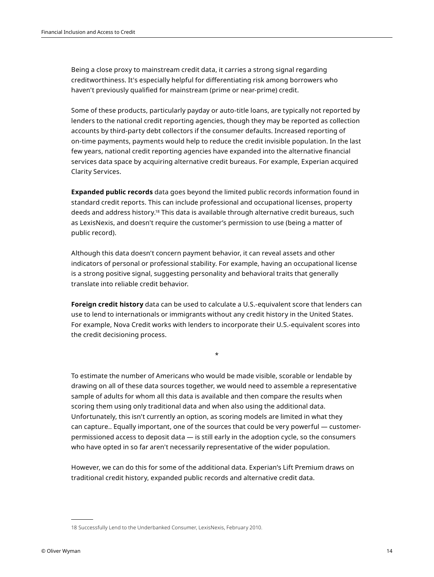Being a close proxy to mainstream credit data, it carries a strong signal regarding creditworthiness. It's especially helpful for differentiating risk among borrowers who haven't previously qualified for mainstream (prime or near-prime) credit.

Some of these products, particularly payday or auto-title loans, are typically not reported by lenders to the national credit reporting agencies, though they may be reported as collection accounts by third-party debt collectors if the consumer defaults. Increased reporting of on-time payments, payments would help to reduce the credit invisible population. In the last few years, national credit reporting agencies have expanded into the alternative financial services data space by acquiring alternative credit bureaus. For example, Experian acquired Clarity Services.

**Expanded public records** data goes beyond the limited public records information found in standard credit reports. This can include professional and occupational licenses, property deeds and address history.18 This data is available through alternative credit bureaus, such as LexisNexis, and doesn't require the customer's permission to use (being a matter of public record).

Although this data doesn't concern payment behavior, it can reveal assets and other indicators of personal or professional stability. For example, having an occupational license is a strong positive signal, suggesting personality and behavioral traits that generally translate into reliable credit behavior.

**Foreign credit history** data can be used to calculate a U.S.-equivalent score that lenders can use to lend to internationals or immigrants without any credit history in the United States. For example, Nova Credit works with lenders to incorporate their U.S.-equivalent scores into the credit decisioning process.

\*

To estimate the number of Americans who would be made visible, scorable or lendable by drawing on all of these data sources together, we would need to assemble a representative sample of adults for whom all this data is available and then compare the results when scoring them using only traditional data and when also using the additional data. Unfortunately, this isn't currently an option, as scoring models are limited in what they can capture.. Equally important, one of the sources that could be very powerful — customerpermissioned access to deposit data — is still early in the adoption cycle, so the consumers who have opted in so far aren't necessarily representative of the wider population.

However, we can do this for some of the additional data. Experian's Lift Premium draws on traditional credit history, expanded public records and alternative credit data.

<sup>18</sup> Successfully Lend to the Underbanked Consumer, LexisNexis, February 2010.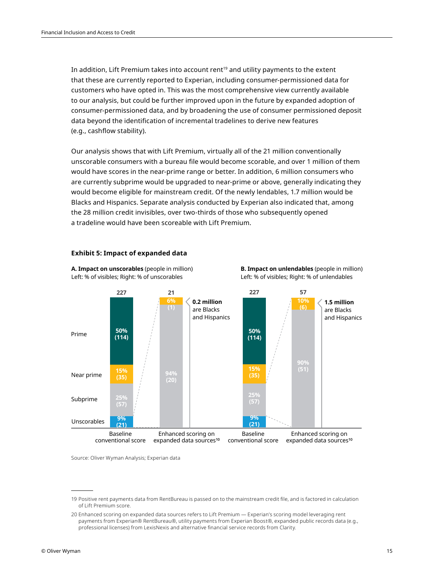In addition, Lift Premium takes into account rent<sup>19</sup> and utility payments to the extent that these are currently reported to Experian, including consumer-permissioned data for customers who have opted in. This was the most comprehensive view currently available to our analysis, but could be further improved upon in the future by expanded adoption of consumer-permissioned data, and by broadening the use of consumer permissioned deposit data beyond the identification of incremental tradelines to derive new features (e.g., cashflow stability).

Our analysis shows that with Lift Premium, virtually all of the 21 million conventionally unscorable consumers with a bureau file would become scorable, and over 1 million of them would have scores in the near-prime range or better. In addition, 6 million consumers who are currently subprime would be upgraded to near-prime or above, generally indicating they would become eligible for mainstream credit. Of the newly lendables, 1.7 million would be Blacks and Hispanics. Separate analysis conducted by Experian also indicated that, among the 28 million credit invisibles, over two-thirds of those who subsequently opened a tradeline would have been scoreable with Lift Premium.



#### **Exhibit 5: Impact of expanded data**

Source: Oliver Wyman Analysis; Experian data

<sup>19</sup> Positive rent payments data from RentBureau is passed on to the mainstream credit file, and is factored in calculation of Lift Premium score.

<sup>20</sup> Enhanced scoring on expanded data sources refers to Lift Premium — Experian's scoring model leveraging rent payments from Experian® RentBureau®, utility payments from Experian Boost®, expanded public records data (e.g., professional licenses) from LexisNexis and alternative financial service records from Clarity.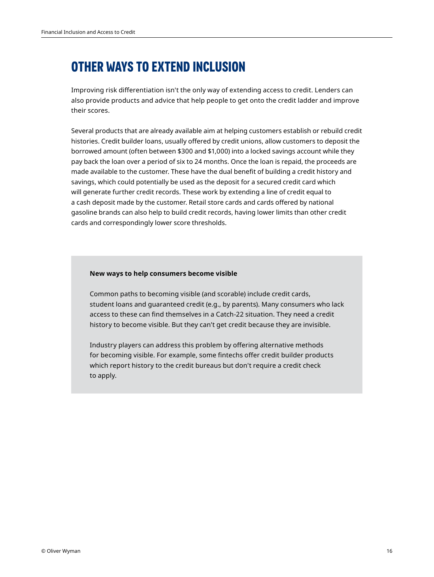## **OTHER WAYS TO EXTEND INCLUSION**

Improving risk differentiation isn't the only way of extending access to credit. Lenders can also provide products and advice that help people to get onto the credit ladder and improve their scores.

Several products that are already available aim at helping customers establish or rebuild credit histories. Credit builder loans, usually offered by credit unions, allow customers to deposit the borrowed amount (often between \$300 and \$1,000) into a locked savings account while they pay back the loan over a period of six to 24 months. Once the loan is repaid, the proceeds are made available to the customer. These have the dual benefit of building a credit history and savings, which could potentially be used as the deposit for a secured credit card which will generate further credit records. These work by extending a line of credit equal to a cash deposit made by the customer. Retail store cards and cards offered by national gasoline brands can also help to build credit records, having lower limits than other credit cards and correspondingly lower score thresholds.

#### **New ways to help consumers become visible**

Common paths to becoming visible (and scorable) include credit cards, student loans and guaranteed credit (e.g., by parents). Many consumers who lack access to these can find themselves in a Catch-22 situation. They need a credit history to become visible. But they can't get credit because they are invisible.

Industry players can address this problem by offering alternative methods for becoming visible. For example, some fintechs offer credit builder products which report history to the credit bureaus but don't require a credit check to apply.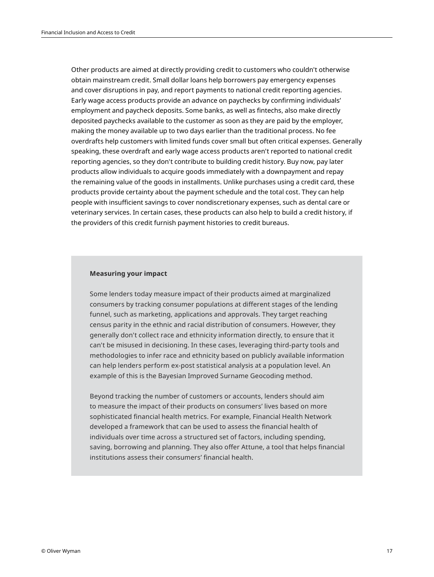Other products are aimed at directly providing credit to customers who couldn't otherwise obtain mainstream credit. Small dollar loans help borrowers pay emergency expenses and cover disruptions in pay, and report payments to national credit reporting agencies. Early wage access products provide an advance on paychecks by confirming individuals' employment and paycheck deposits. Some banks, as well as fintechs, also make directly deposited paychecks available to the customer as soon as they are paid by the employer, making the money available up to two days earlier than the traditional process. No fee overdrafts help customers with limited funds cover small but often critical expenses. Generally speaking, these overdraft and early wage access products aren't reported to national credit reporting agencies, so they don't contribute to building credit history. Buy now, pay later products allow individuals to acquire goods immediately with a downpayment and repay the remaining value of the goods in installments. Unlike purchases using a credit card, these products provide certainty about the payment schedule and the total cost. They can help people with insufficient savings to cover nondiscretionary expenses, such as dental care or veterinary services. In certain cases, these products can also help to build a credit history, if the providers of this credit furnish payment histories to credit bureaus.

#### **Measuring your impact**

Some lenders today measure impact of their products aimed at marginalized consumers by tracking consumer populations at different stages of the lending funnel, such as marketing, applications and approvals. They target reaching census parity in the ethnic and racial distribution of consumers. However, they generally don't collect race and ethnicity information directly, to ensure that it can't be misused in decisioning. In these cases, leveraging third-party tools and methodologies to infer race and ethnicity based on publicly available information can help lenders perform ex-post statistical analysis at a population level. An example of this is the Bayesian Improved Surname Geocoding method.

Beyond tracking the number of customers or accounts, lenders should aim to measure the impact of their products on consumers' lives based on more sophisticated financial health metrics. For example, Financial Health Network developed a framework that can be used to assess the financial health of individuals over time across a structured set of factors, including spending, saving, borrowing and planning. They also offer Attune, a tool that helps financial institutions assess their consumers' financial health.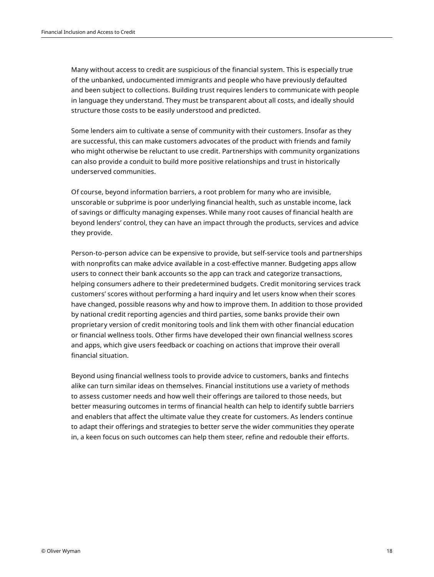Many without access to credit are suspicious of the financial system. This is especially true of the unbanked, undocumented immigrants and people who have previously defaulted and been subject to collections. Building trust requires lenders to communicate with people in language they understand. They must be transparent about all costs, and ideally should structure those costs to be easily understood and predicted.

Some lenders aim to cultivate a sense of community with their customers. Insofar as they are successful, this can make customers advocates of the product with friends and family who might otherwise be reluctant to use credit. Partnerships with community organizations can also provide a conduit to build more positive relationships and trust in historically underserved communities.

Of course, beyond information barriers, a root problem for many who are invisible, unscorable or subprime is poor underlying financial health, such as unstable income, lack of savings or difficulty managing expenses. While many root causes of financial health are beyond lenders' control, they can have an impact through the products, services and advice they provide.

Person-to-person advice can be expensive to provide, but self-service tools and partnerships with nonprofits can make advice available in a cost-effective manner. Budgeting apps allow users to connect their bank accounts so the app can track and categorize transactions, helping consumers adhere to their predetermined budgets. Credit monitoring services track customers' scores without performing a hard inquiry and let users know when their scores have changed, possible reasons why and how to improve them. In addition to those provided by national credit reporting agencies and third parties, some banks provide their own proprietary version of credit monitoring tools and link them with other financial education or financial wellness tools. Other firms have developed their own financial wellness scores and apps, which give users feedback or coaching on actions that improve their overall financial situation.

Beyond using financial wellness tools to provide advice to customers, banks and fintechs alike can turn similar ideas on themselves. Financial institutions use a variety of methods to assess customer needs and how well their offerings are tailored to those needs, but better measuring outcomes in terms of financial health can help to identify subtle barriers and enablers that affect the ultimate value they create for customers. As lenders continue to adapt their offerings and strategies to better serve the wider communities they operate in, a keen focus on such outcomes can help them steer, refine and redouble their efforts.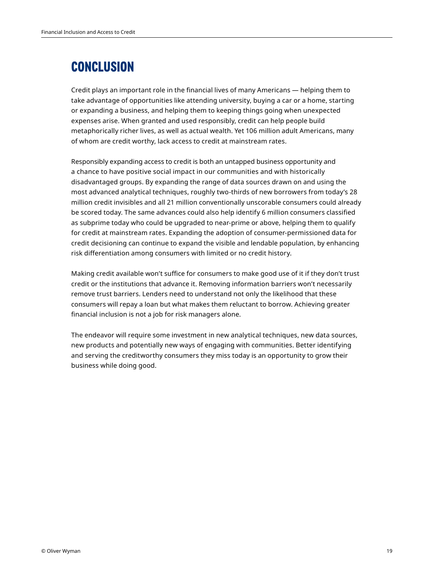## **CONCLUSION**

Credit plays an important role in the financial lives of many Americans — helping them to take advantage of opportunities like attending university, buying a car or a home, starting or expanding a business, and helping them to keeping things going when unexpected expenses arise. When granted and used responsibly, credit can help people build metaphorically richer lives, as well as actual wealth. Yet 106 million adult Americans, many of whom are credit worthy, lack access to credit at mainstream rates.

Responsibly expanding access to credit is both an untapped business opportunity and a chance to have positive social impact in our communities and with historically disadvantaged groups. By expanding the range of data sources drawn on and using the most advanced analytical techniques, roughly two-thirds of new borrowers from today's 28 million credit invisibles and all 21 million conventionally unscorable consumers could already be scored today. The same advances could also help identify 6 million consumers classified as subprime today who could be upgraded to near-prime or above, helping them to qualify for credit at mainstream rates. Expanding the adoption of consumer-permissioned data for credit decisioning can continue to expand the visible and lendable population, by enhancing risk differentiation among consumers with limited or no credit history.

Making credit available won't suffice for consumers to make good use of it if they don't trust credit or the institutions that advance it. Removing information barriers won't necessarily remove trust barriers. Lenders need to understand not only the likelihood that these consumers will repay a loan but what makes them reluctant to borrow. Achieving greater financial inclusion is not a job for risk managers alone.

The endeavor will require some investment in new analytical techniques, new data sources, new products and potentially new ways of engaging with communities. Better identifying and serving the creditworthy consumers they miss today is an opportunity to grow their business while doing good.